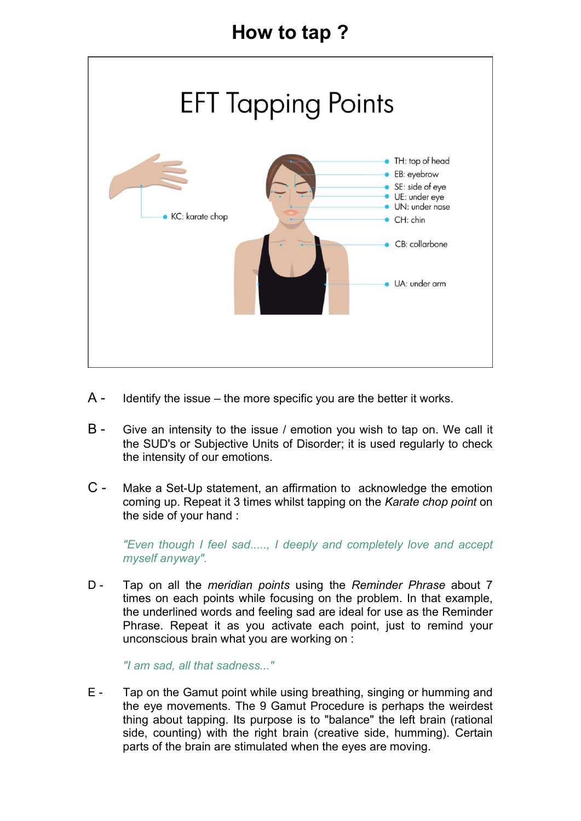## How to tap ?



- $A -$  Identify the issue the more specific you are the better it works.
- B Give an intensity to the issue / emotion you wish to tap on. We call it the SUD's or Subjective Units of Disorder; it is used regularly to check the intensity of our emotions.
- C Make a Set-Up statement, an affirmation to acknowledge the emotion coming up. Repeat it 3 times whilst tapping on the Karate chop point on the side of your hand :

"Even though I feel sad....., I deeply and completely love and accept myself anyway".

D - Tap on all the meridian points using the Reminder Phrase about 7 times on each points while focusing on the problem. In that example, the underlined words and feeling sad are ideal for use as the Reminder Phrase. Repeat it as you activate each point, just to remind your unconscious brain what you are working on :

"I am sad, all that sadness..."

E - Tap on the Gamut point while using breathing, singing or humming and the eye movements. The 9 Gamut Procedure is perhaps the weirdest thing about tapping. Its purpose is to "balance" the left brain (rational side, counting) with the right brain (creative side, humming). Certain parts of the brain are stimulated when the eyes are moving.